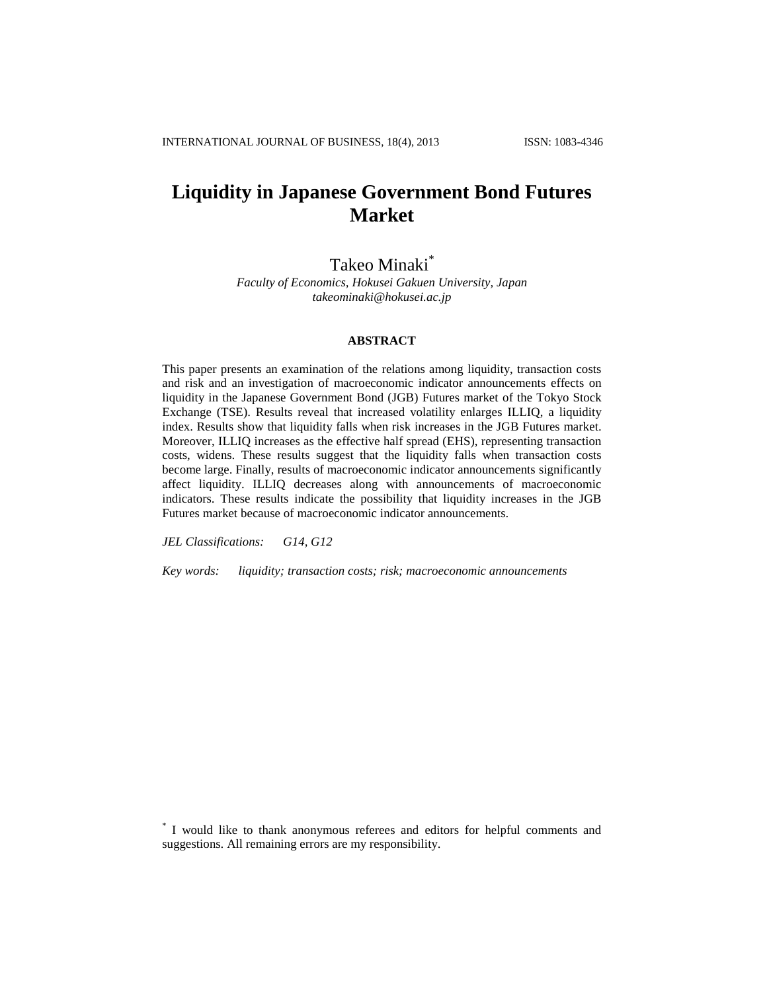# **Liquidity in Japanese Government Bond Futures Market**

Takeo Minaki\*

*Faculty of Economics, Hokusei Gakuen University, Japan takeominaki@hokusei.ac.jp*

# **ABSTRACT**

This paper presents an examination of the relations among liquidity, transaction costs and risk and an investigation of macroeconomic indicator announcements effects on liquidity in the Japanese Government Bond (JGB) Futures market of the Tokyo Stock Exchange (TSE). Results reveal that increased volatility enlarges ILLIQ, a liquidity index. Results show that liquidity falls when risk increases in the JGB Futures market. Moreover, ILLIQ increases as the effective half spread (EHS), representing transaction costs, widens. These results suggest that the liquidity falls when transaction costs become large. Finally, results of macroeconomic indicator announcements significantly affect liquidity. ILLIQ decreases along with announcements of macroeconomic indicators. These results indicate the possibility that liquidity increases in the JGB Futures market because of macroeconomic indicator announcements.

*JEL Classifications: G14, G12*

*Key words: liquidity; transaction costs; risk; macroeconomic announcements*

\* I would like to thank anonymous referees and editors for helpful comments and suggestions. All remaining errors are my responsibility.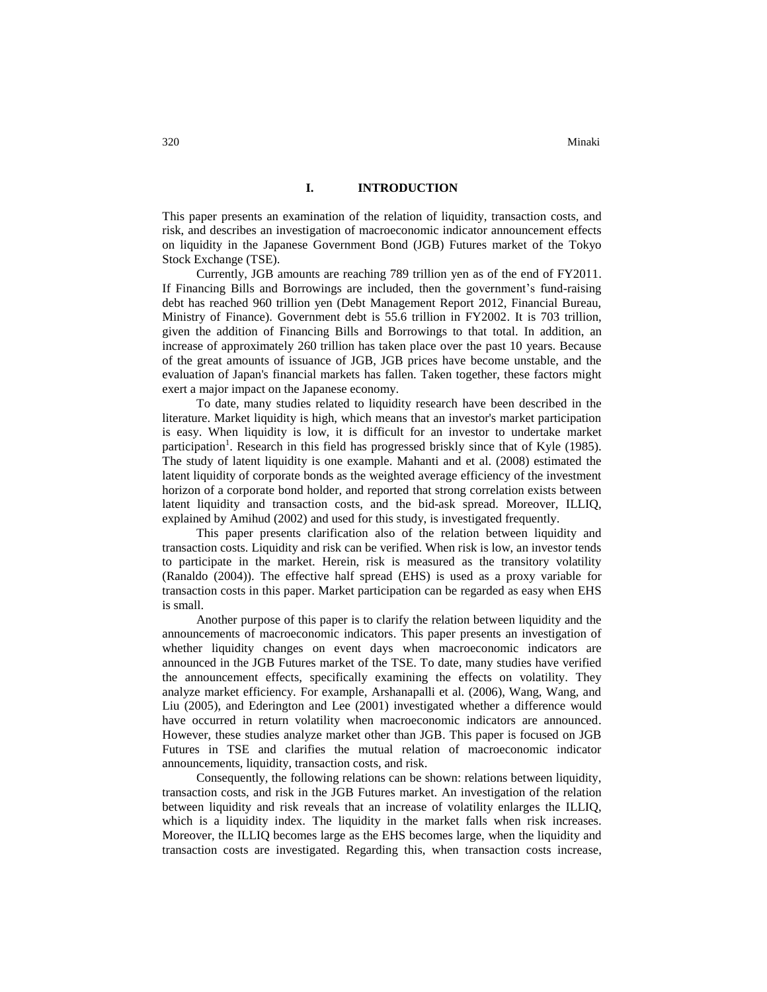# **I. INTRODUCTION**

This paper presents an examination of the relation of liquidity, transaction costs, and risk, and describes an investigation of macroeconomic indicator announcement effects on liquidity in the Japanese Government Bond (JGB) Futures market of the Tokyo Stock Exchange (TSE).

Currently, JGB amounts are reaching 789 trillion yen as of the end of FY2011. If Financing Bills and Borrowings are included, then the government's fund-raising debt has reached 960 trillion yen (Debt Management Report 2012, Financial Bureau, Ministry of Finance). Government debt is 55.6 trillion in FY2002. It is 703 trillion, given the addition of Financing Bills and Borrowings to that total. In addition, an increase of approximately 260 trillion has taken place over the past 10 years. Because of the great amounts of issuance of JGB, JGB prices have become unstable, and the evaluation of Japan's financial markets has fallen. Taken together, these factors might exert a major impact on the Japanese economy.

To date, many studies related to liquidity research have been described in the literature. Market liquidity is high, which means that an investor's market participation is easy. When liquidity is low, it is difficult for an investor to undertake market participation<sup>1</sup>. Research in this field has progressed briskly since that of Kyle (1985). The study of latent liquidity is one example. Mahanti and et al. (2008) estimated the latent liquidity of corporate bonds as the weighted average efficiency of the investment horizon of a corporate bond holder, and reported that strong correlation exists between latent liquidity and transaction costs, and the bid-ask spread. Moreover, ILLIQ, explained by Amihud (2002) and used for this study, is investigated frequently.

This paper presents clarification also of the relation between liquidity and transaction costs. Liquidity and risk can be verified. When risk is low, an investor tends to participate in the market. Herein, risk is measured as the transitory volatility (Ranaldo (2004)). The effective half spread (EHS) is used as a proxy variable for transaction costs in this paper. Market participation can be regarded as easy when EHS is small.

Another purpose of this paper is to clarify the relation between liquidity and the announcements of macroeconomic indicators. This paper presents an investigation of whether liquidity changes on event days when macroeconomic indicators are announced in the JGB Futures market of the TSE. To date, many studies have verified the announcement effects, specifically examining the effects on volatility. They analyze market efficiency. For example, Arshanapalli et al. (2006), Wang, Wang, and Liu (2005), and Ederington and Lee (2001) investigated whether a difference would have occurred in return volatility when macroeconomic indicators are announced. However, these studies analyze market other than JGB. This paper is focused on JGB Futures in TSE and clarifies the mutual relation of macroeconomic indicator announcements, liquidity, transaction costs, and risk.

Consequently, the following relations can be shown: relations between liquidity, transaction costs, and risk in the JGB Futures market. An investigation of the relation between liquidity and risk reveals that an increase of volatility enlarges the ILLIQ, which is a liquidity index. The liquidity in the market falls when risk increases. Moreover, the ILLIQ becomes large as the EHS becomes large, when the liquidity and transaction costs are investigated. Regarding this, when transaction costs increase,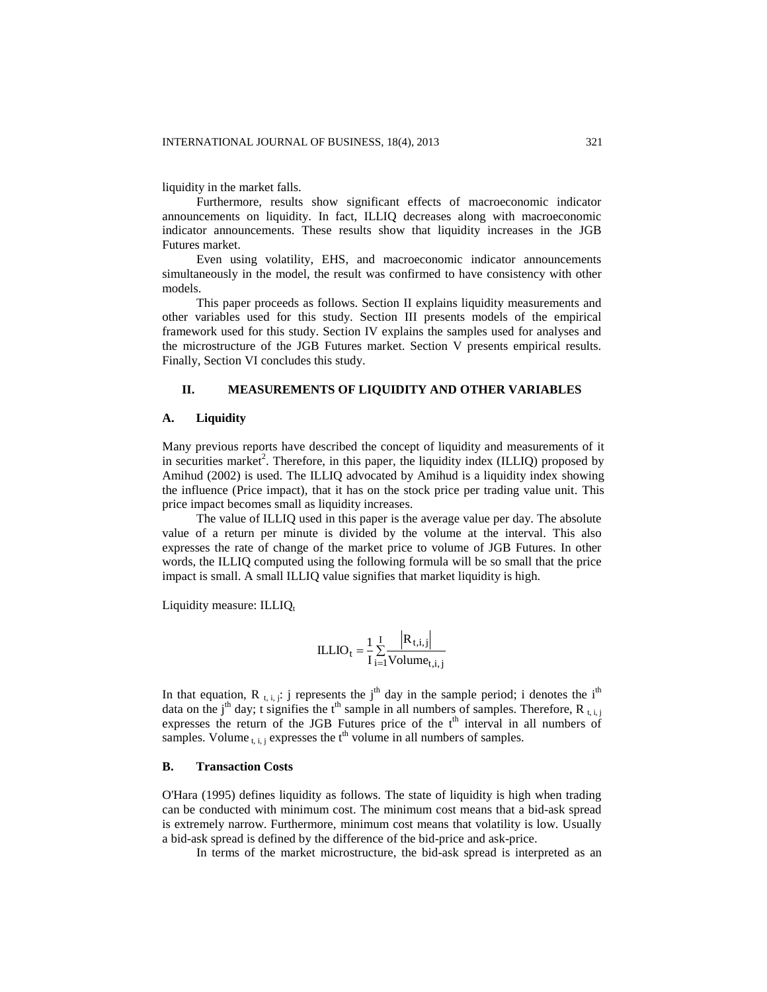liquidity in the market falls.

Furthermore, results show significant effects of macroeconomic indicator announcements on liquidity. In fact, ILLIQ decreases along with macroeconomic indicator announcements. These results show that liquidity increases in the JGB Futures market.

Even using volatility, EHS, and macroeconomic indicator announcements simultaneously in the model, the result was confirmed to have consistency with other models.

This paper proceeds as follows. Section II explains liquidity measurements and other variables used for this study. Section III presents models of the empirical framework used for this study. Section IV explains the samples used for analyses and the microstructure of the JGB Futures market. Section V presents empirical results. Finally, Section VI concludes this study.

# **II. MEASUREMENTS OF LIQUIDITY AND OTHER VARIABLES**

#### **A. Liquidity**

Many previous reports have described the concept of liquidity and measurements of it in securities market<sup>2</sup>. Therefore, in this paper, the liquidity index (ILLIQ) proposed by Amihud (2002) is used. The ILLIQ advocated by Amihud is a liquidity index showing the influence (Price impact), that it has on the stock price per trading value unit. This price impact becomes small as liquidity increases.

The value of ILLIQ used in this paper is the average value per day. The absolute value of a return per minute is divided by the volume at the interval. This also expresses the rate of change of the market price to volume of JGB Futures. In other words, the ILLIQ computed using the following formula will be so small that the price impact is small. A small ILLIQ value signifies that market liquidity is high.

Liquidity measure:  $ILLIO<sub>t</sub>$ 

$$
ILLIO_t = \frac{1}{I} \sum_{i=1}^{I} \frac{|R_{t,i,j}|}{Volume_{t,i,j}}
$$

In that equation, R  $_{t,i,j}$ : j represents the j<sup>th</sup> day in the sample period; i denotes the i<sup>th</sup> data on the j<sup>th</sup> day; t signifies the t<sup>th</sup> sample in all numbers of samples. Therefore, R<sub>t, i, j</sub> expresses the return of the JGB Futures price of the t<sup>th</sup> interval in all numbers of samples. Volume  $_{t,i,j}$  expresses the  $t<sup>th</sup>$  volume in all numbers of samples.

#### **B. Transaction Costs**

O'Hara (1995) defines liquidity as follows. The state of liquidity is high when trading can be conducted with minimum cost. The minimum cost means that a bid-ask spread is extremely narrow. Furthermore, minimum cost means that volatility is low. Usually a bid-ask spread is defined by the difference of the bid-price and ask-price.

In terms of the market microstructure, the bid-ask spread is interpreted as an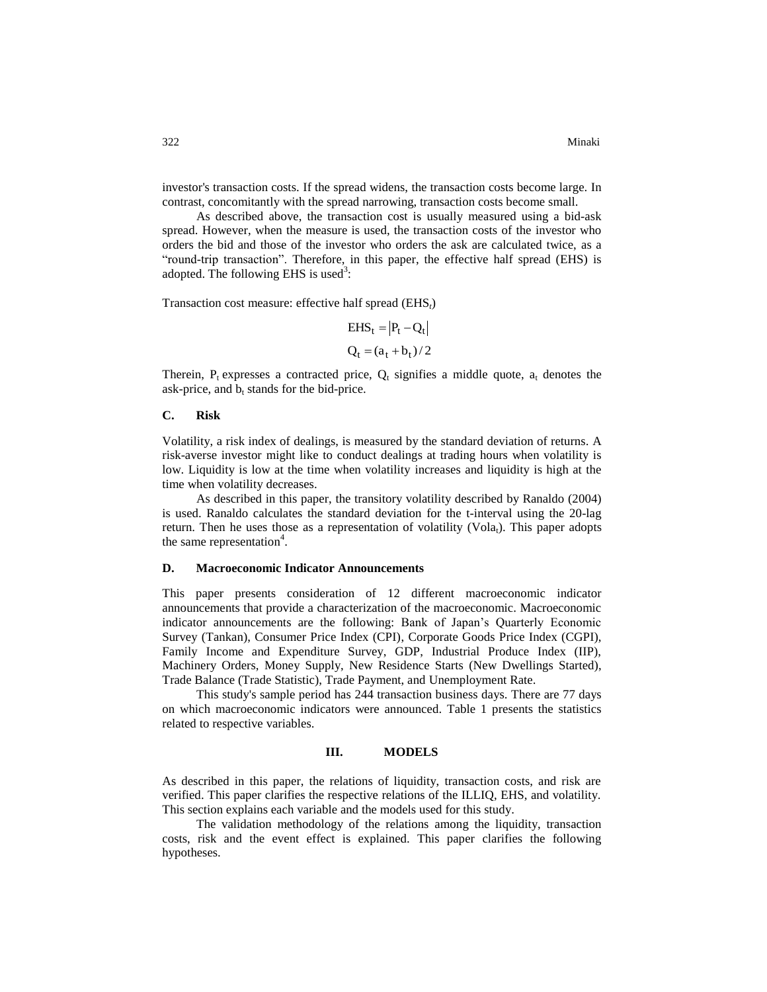investor's transaction costs. If the spread widens, the transaction costs become large. In contrast, concomitantly with the spread narrowing, transaction costs become small.

As described above, the transaction cost is usually measured using a bid-ask spread. However, when the measure is used, the transaction costs of the investor who orders the bid and those of the investor who orders the ask are calculated twice, as a "round-trip transaction". Therefore, in this paper, the effective half spread (EHS) is adopted. The following EHS is used<sup>3</sup>:

Transaction cost measure: effective half spread (EHS*t*)

$$
EHS_t = |P_t - Q_t|
$$
  
 
$$
Q_t = (a_t + b_t)/2
$$

Therein,  $P_t$  expresses a contracted price,  $Q_t$  signifies a middle quote,  $a_t$  denotes the ask-price, and  $b_t$  stands for the bid-price.

# **C. Risk**

Volatility, a risk index of dealings, is measured by the standard deviation of returns. A risk-averse investor might like to conduct dealings at trading hours when volatility is low. Liquidity is low at the time when volatility increases and liquidity is high at the time when volatility decreases.

As described in this paper, the transitory volatility described by Ranaldo (2004) is used. Ranaldo calculates the standard deviation for the t-interval using the 20-lag return. Then he uses those as a representation of volatility  $(Vola<sub>t</sub>)$ . This paper adopts the same representation<sup>4</sup>.

#### **D. Macroeconomic Indicator Announcements**

This paper presents consideration of 12 different macroeconomic indicator announcements that provide a characterization of the macroeconomic. Macroeconomic indicator announcements are the following: Bank of Japan's Quarterly Economic Survey (Tankan), Consumer Price Index (CPI), Corporate Goods Price Index (CGPI), Family Income and Expenditure Survey, GDP, Industrial Produce Index (IIP), Machinery Orders, Money Supply, New Residence Starts (New Dwellings Started), Trade Balance (Trade Statistic), Trade Payment, and Unemployment Rate.

This study's sample period has 244 transaction business days. There are 77 days on which macroeconomic indicators were announced. Table 1 presents the statistics related to respective variables.

# **III. MODELS**

As described in this paper, the relations of liquidity, transaction costs, and risk are verified. This paper clarifies the respective relations of the ILLIQ, EHS, and volatility. This section explains each variable and the models used for this study.

The validation methodology of the relations among the liquidity, transaction costs, risk and the event effect is explained. This paper clarifies the following hypotheses.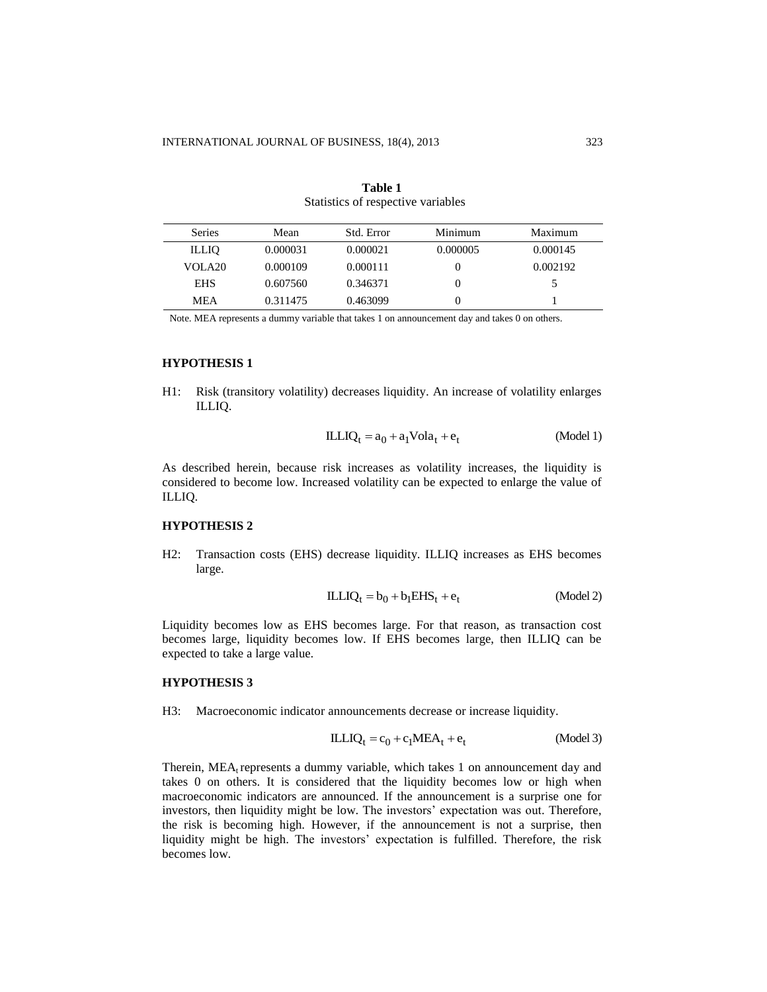| <b>Series</b> | Mean     | Std. Error | Minimum  | Maximum  |
|---------------|----------|------------|----------|----------|
| <b>ILLIO</b>  | 0.000031 | 0.000021   | 0.000005 | 0.000145 |
| VOLA20        | 0.000109 | 0.000111   | $\theta$ | 0.002192 |
| <b>EHS</b>    | 0.607560 | 0.346371   | $\theta$ |          |
| <b>MEA</b>    | 0.311475 | 0.463099   | O        |          |

| Table 1                            |  |
|------------------------------------|--|
| Statistics of respective variables |  |

Note. MEA represents a dummy variable that takes 1 on announcement day and takes 0 on others.

# **HYPOTHESIS 1**

H1: Risk (transitory volatility) decreases liquidity. An increase of volatility enlarges ILLIQ.

$$
ILLIQt = a0 + a1 Volat + et
$$
 (Model 1)

As described herein, because risk increases as volatility increases, the liquidity is considered to become low. Increased volatility can be expected to enlarge the value of ILLIQ.

# **HYPOTHESIS 2**

H2: Transaction costs (EHS) decrease liquidity. ILLIQ increases as EHS becomes large.

$$
ILLIQ_t = b_0 + b_1 EHS_t + e_t \qquad (Model 2)
$$

Liquidity becomes low as EHS becomes large. For that reason, as transaction cost becomes large, liquidity becomes low. If EHS becomes large, then ILLIQ can be expected to take a large value.

# **HYPOTHESIS 3**

H3: Macroeconomic indicator announcements decrease or increase liquidity.

$$
ILLIQt = c0 + c1 MEAt + et
$$
 (Model 3)

Therein,  $MEA$ <sub>t</sub> represents a dummy variable, which takes 1 on announcement day and takes 0 on others. It is considered that the liquidity becomes low or high when macroeconomic indicators are announced. If the announcement is a surprise one for investors, then liquidity might be low. The investors' expectation was out. Therefore, the risk is becoming high. However, if the announcement is not a surprise, then liquidity might be high. The investors' expectation is fulfilled. Therefore, the risk becomes low.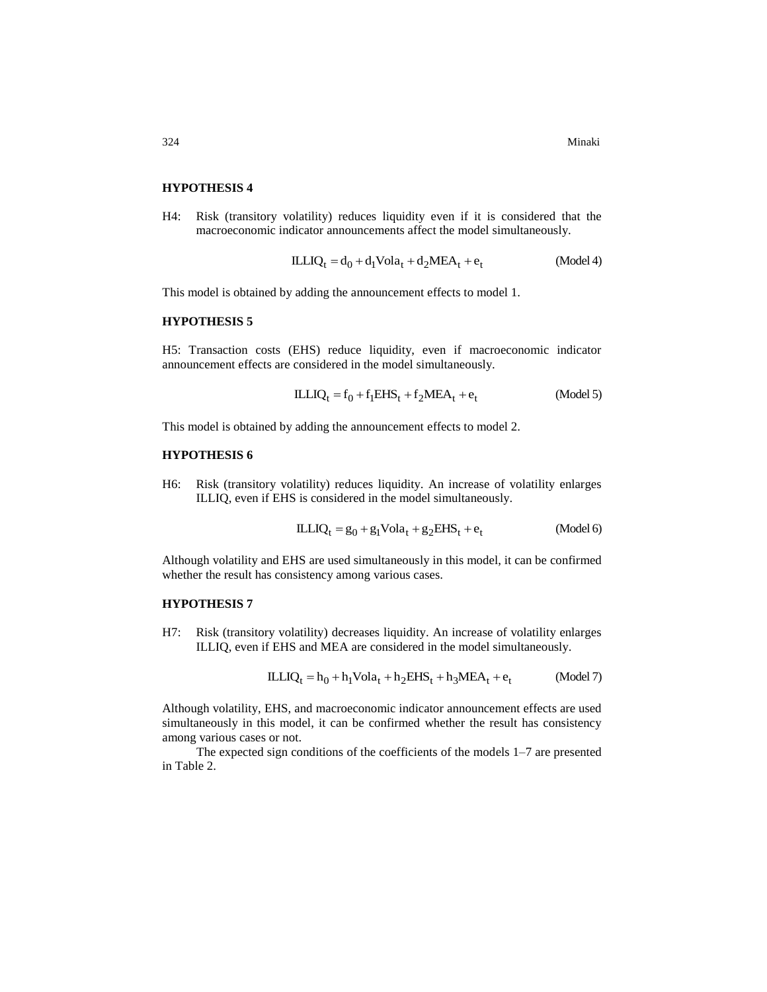### **HYPOTHESIS 4**

H4: Risk (transitory volatility) reduces liquidity even if it is considered that the macroeconomic indicator announcements affect the model simultaneously.

$$
ILLIQt = d0 + d1 Volat + d2 MEAt + et
$$
 (Model 4)

This model is obtained by adding the announcement effects to model 1.

# **HYPOTHESIS 5**

H5: Transaction costs (EHS) reduce liquidity, even if macroeconomic indicator announcement effects are considered in the model simultaneously.

$$
ILLIQt = f0 + f1 EHSt + f2 MEAt + et
$$
 (Model 5)

This model is obtained by adding the announcement effects to model 2.

#### **HYPOTHESIS 6**

H6: Risk (transitory volatility) reduces liquidity. An increase of volatility enlarges ILLIQ, even if EHS is considered in the model simultaneously.

$$
ILLIQt = g0 + g1 Volat + g2 E H St + et
$$
 (Model 6)

Although volatility and EHS are used simultaneously in this model, it can be confirmed whether the result has consistency among various cases.

# **HYPOTHESIS 7**

H7: Risk (transitory volatility) decreases liquidity. An increase of volatility enlarges ILLIQ, even if EHS and MEA are considered in the model simultaneously.

$$
ILLIQ_t = h_0 + h_1 \text{Vol}a_t + h_2 EHS_t + h_3 MEA_t + e_t \tag{Model 7}
$$

Although volatility, EHS, and macroeconomic indicator announcement effects are used simultaneously in this model, it can be confirmed whether the result has consistency among various cases or not.

The expected sign conditions of the coefficients of the models 1–7 are presented in Table 2.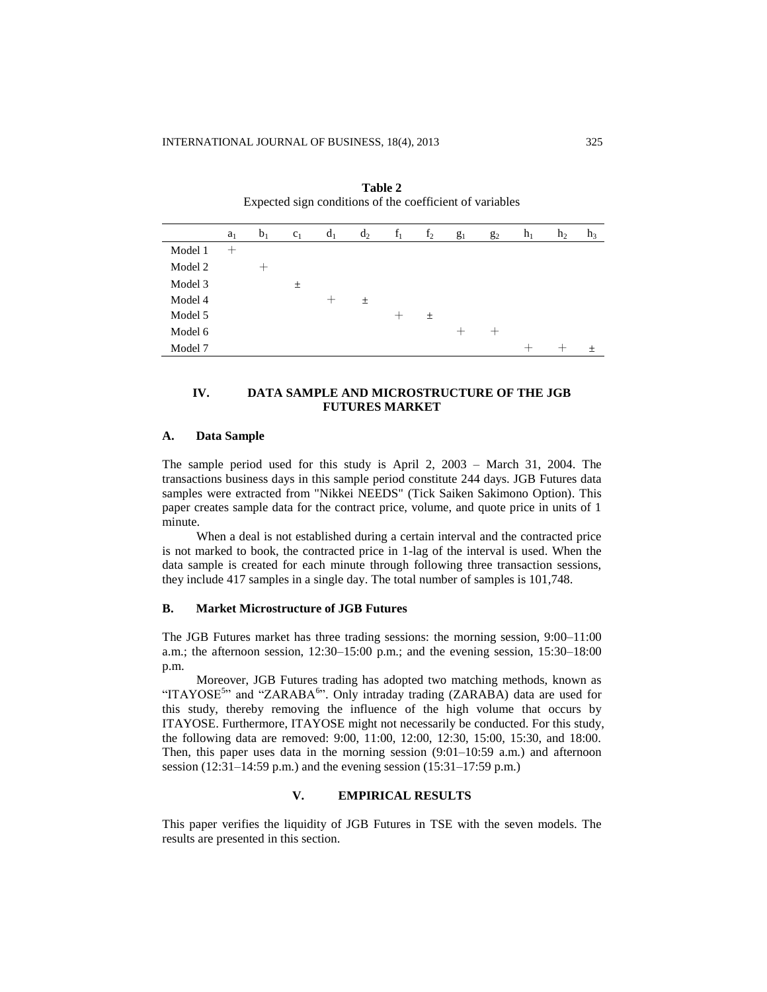|         | $a_1$ | b <sub>1</sub> | c <sub>1</sub> | $d_1$           | $d_2$ | $f_1$           | f <sub>2</sub> | $g_1$              | $g_2$ | $h_1$ | h <sub>2</sub> | $h_3$ |
|---------|-------|----------------|----------------|-----------------|-------|-----------------|----------------|--------------------|-------|-------|----------------|-------|
| Model 1 | $^+$  |                |                |                 |       |                 |                |                    |       |       |                |       |
| Model 2 |       |                |                |                 |       |                 |                |                    |       |       |                |       |
| Model 3 |       |                | $\pm$          |                 |       |                 |                |                    |       |       |                |       |
| Model 4 |       |                |                | $^{\mathrm{+}}$ | 土     |                 |                |                    |       |       |                |       |
| Model 5 |       |                |                |                 |       | $^{\mathrm{+}}$ | 土              |                    |       |       |                |       |
| Model 6 |       |                |                |                 |       |                 |                | $\hspace{0.1mm} +$ | ┿     |       |                |       |
| Model 7 |       |                |                |                 |       |                 |                |                    |       |       |                | $+$   |

**Table 2** Expected sign conditions of the coefficient of variables

# **IV. DATA SAMPLE AND MICROSTRUCTURE OF THE JGB FUTURES MARKET**

#### **A. Data Sample**

The sample period used for this study is April 2, 2003 – March 31, 2004. The transactions business days in this sample period constitute 244 days. JGB Futures data samples were extracted from "Nikkei NEEDS" (Tick Saiken Sakimono Option). This paper creates sample data for the contract price, volume, and quote price in units of 1 minute.

When a deal is not established during a certain interval and the contracted price is not marked to book, the contracted price in 1-lag of the interval is used. When the data sample is created for each minute through following three transaction sessions, they include 417 samples in a single day. The total number of samples is 101,748.

# **B. Market Microstructure of JGB Futures**

The JGB Futures market has three trading sessions: the morning session, 9:00–11:00 a.m.; the afternoon session, 12:30–15:00 p.m.; and the evening session, 15:30–18:00 p.m.

Moreover, JGB Futures trading has adopted two matching methods, known as "ITAYOSE<sup>5</sup>" and "ZARABA<sup>6</sup>". Only intraday trading (ZARABA) data are used for this study, thereby removing the influence of the high volume that occurs by ITAYOSE. Furthermore, ITAYOSE might not necessarily be conducted. For this study, the following data are removed: 9:00, 11:00, 12:00, 12:30, 15:00, 15:30, and 18:00. Then, this paper uses data in the morning session  $(9:01-10:59 \text{ a.m.})$  and afternoon session (12:31–14:59 p.m.) and the evening session (15:31–17:59 p.m.)

# **V. EMPIRICAL RESULTS**

This paper verifies the liquidity of JGB Futures in TSE with the seven models. The results are presented in this section.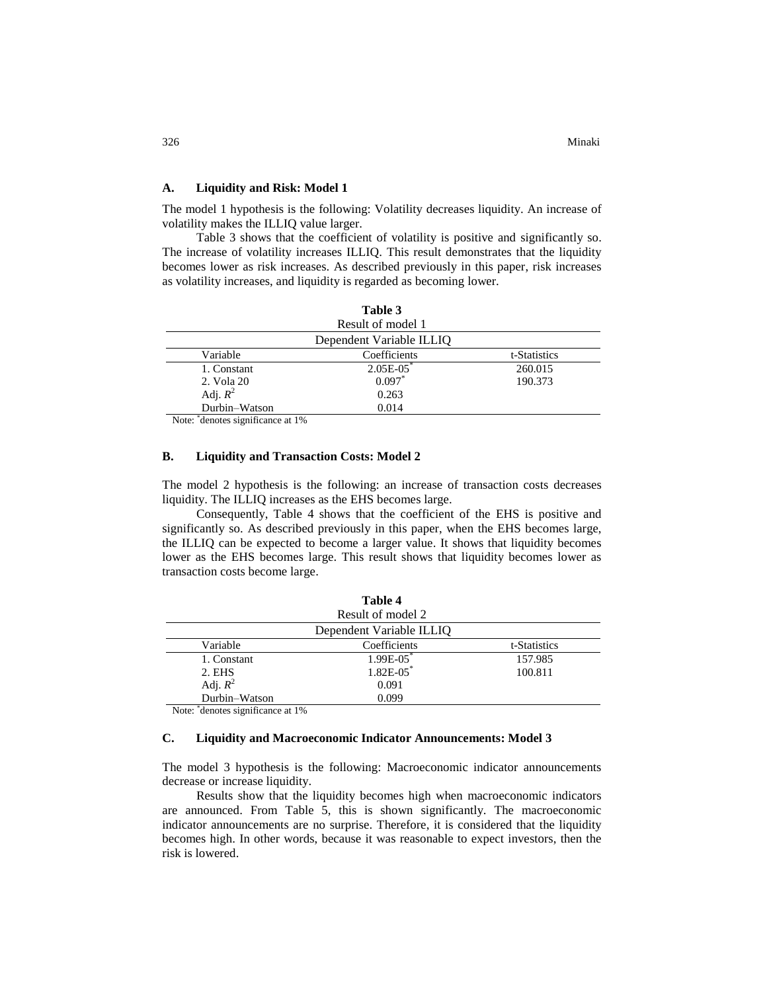# **A. Liquidity and Risk: Model 1**

The model 1 hypothesis is the following: Volatility decreases liquidity. An increase of volatility makes the ILLIQ value larger.

Table 3 shows that the coefficient of volatility is positive and significantly so. The increase of volatility increases ILLIQ. This result demonstrates that the liquidity becomes lower as risk increases. As described previously in this paper, risk increases as volatility increases, and liquidity is regarded as becoming lower.

|                                       | Table 3                  |              |
|---------------------------------------|--------------------------|--------------|
|                                       | Result of model 1        |              |
|                                       | Dependent Variable ILLIQ |              |
| Variable                              | Coefficients             | t-Statistics |
| 1. Constant                           | $2.05E-05$ *             | 260.015      |
| 2. Vola 20                            | 0.097                    | 190.373      |
| Adj. $R^2$                            | 0.263                    |              |
| Durbin-Watson<br>$\ddot{\phantom{a}}$ | 0.014                    |              |

Note: \* denotes significance at 1%

# **B. Liquidity and Transaction Costs: Model 2**

The model 2 hypothesis is the following: an increase of transaction costs decreases liquidity. The ILLIQ increases as the EHS becomes large.

Consequently, Table 4 shows that the coefficient of the EHS is positive and significantly so. As described previously in this paper, when the EHS becomes large, the ILLIQ can be expected to become a larger value. It shows that liquidity becomes lower as the EHS becomes large. This result shows that liquidity becomes lower as transaction costs become large.

|               | Table 4                  |              |
|---------------|--------------------------|--------------|
|               | Result of model 2        |              |
|               | Dependent Variable ILLIQ |              |
| Variable      | Coefficients             | t-Statistics |
| 1. Constant   | $1.99E-05$ *             | 157.985      |
| 2. EHS        | $1.82E-05$ *             | 100.811      |
| Adj. $R^2$    | 0.091                    |              |
| Durbin-Watson | 0.099                    |              |

Note: \* denotes significance at 1%

#### **C. Liquidity and Macroeconomic Indicator Announcements: Model 3**

The model 3 hypothesis is the following: Macroeconomic indicator announcements decrease or increase liquidity.

Results show that the liquidity becomes high when macroeconomic indicators are announced. From Table 5, this is shown significantly. The macroeconomic indicator announcements are no surprise. Therefore, it is considered that the liquidity becomes high. In other words, because it was reasonable to expect investors, then the risk is lowered.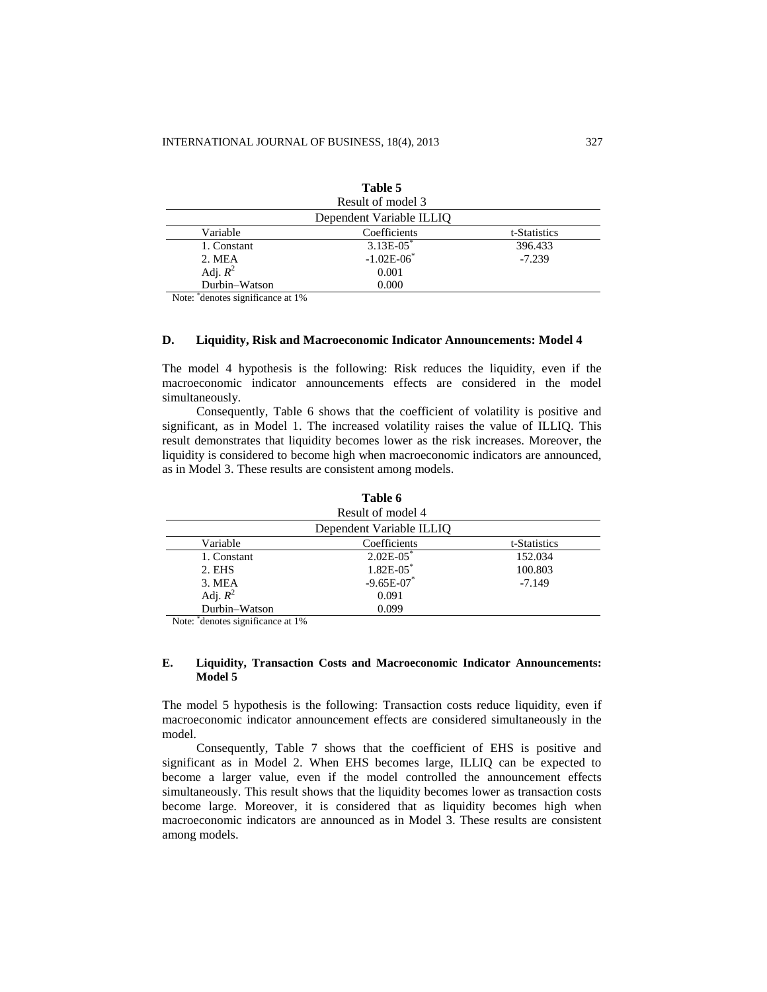|               | Table 5                  |              |
|---------------|--------------------------|--------------|
|               | Result of model 3        |              |
|               | Dependent Variable ILLIQ |              |
| Variable      | Coefficients             | t-Statistics |
| 1. Constant   | $3.13E-05$ <sup>*</sup>  | 396.433      |
| 2. MEA        | $-1.02E - 06$            | $-7.239$     |
| Adj. $R^2$    | 0.001                    |              |
| Durbin-Watson | 0.000                    |              |

Note: \* denotes significance at 1%

#### **D. Liquidity, Risk and Macroeconomic Indicator Announcements: Model 4**

The model 4 hypothesis is the following: Risk reduces the liquidity, even if the macroeconomic indicator announcements effects are considered in the model simultaneously.

Consequently, Table 6 shows that the coefficient of volatility is positive and significant, as in Model 1. The increased volatility raises the value of ILLIQ. This result demonstrates that liquidity becomes lower as the risk increases. Moreover, the liquidity is considered to become high when macroeconomic indicators are announced, as in Model 3. These results are consistent among models.

|               | Table 6                  |              |
|---------------|--------------------------|--------------|
|               | Result of model 4        |              |
|               | Dependent Variable ILLIQ |              |
| Variable      | Coefficients             | t-Statistics |
| 1. Constant   | $2.02E-05$               | 152.034      |
| 2. EHS        | $1.82E-05$               | 100.803      |
| 3. MEA        | $-9.65E - 07$            | $-7.149$     |
| Adj. $R^2$    | 0.091                    |              |
| Durbin-Watson | 0.099                    |              |

Note: \* denotes significance at 1%

#### **E. Liquidity, Transaction Costs and Macroeconomic Indicator Announcements: Model 5**

The model 5 hypothesis is the following: Transaction costs reduce liquidity, even if macroeconomic indicator announcement effects are considered simultaneously in the model.

Consequently, Table 7 shows that the coefficient of EHS is positive and significant as in Model 2. When EHS becomes large, ILLIQ can be expected to become a larger value, even if the model controlled the announcement effects simultaneously. This result shows that the liquidity becomes lower as transaction costs become large. Moreover, it is considered that as liquidity becomes high when macroeconomic indicators are announced as in Model 3. These results are consistent among models.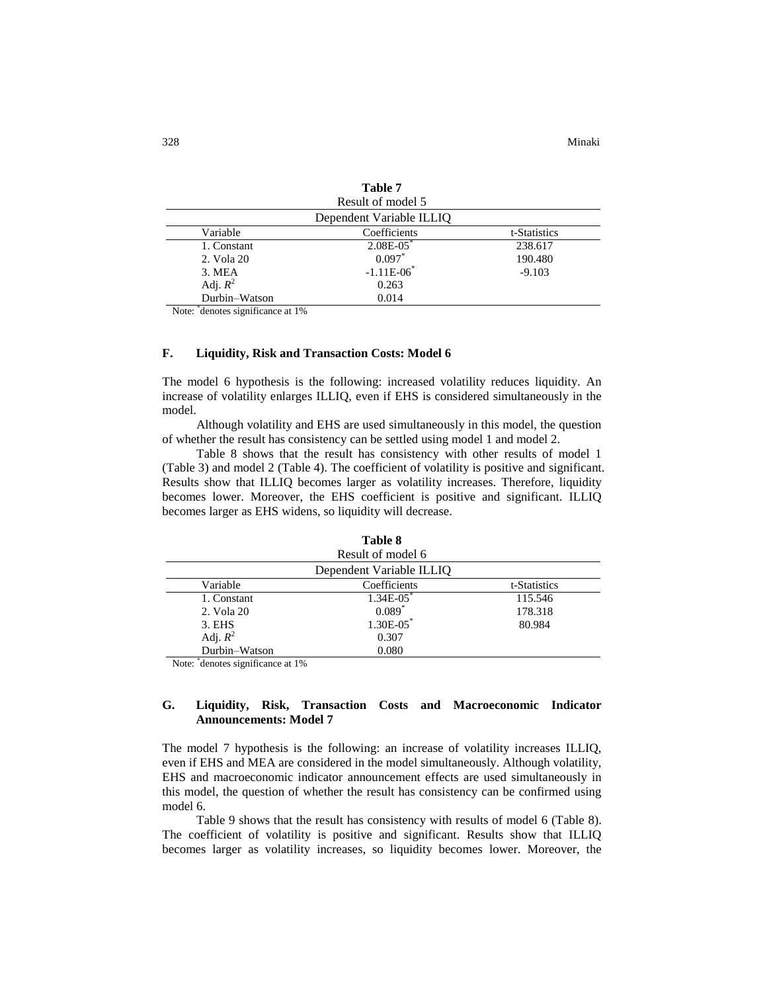|               | Tabie /                  |              |
|---------------|--------------------------|--------------|
|               | Result of model 5        |              |
|               | Dependent Variable ILLIQ |              |
| Variable      | Coefficients             | t-Statistics |
| 1. Constant   | $2.08E - 0.05$           | 238.617      |
| 2. Vola 20    | $0.097*$                 | 190.480      |
| 3. MEA        | $-1.11E-06$ <sup>*</sup> | $-9.103$     |
| Adj. $R^2$    | 0.263                    |              |
| Durbin-Watson | 0.014                    |              |

**Table 7**

Note: \* denotes significance at 1%

#### **F. Liquidity, Risk and Transaction Costs: Model 6**

The model 6 hypothesis is the following: increased volatility reduces liquidity. An increase of volatility enlarges ILLIQ, even if EHS is considered simultaneously in the model.

Although volatility and EHS are used simultaneously in this model, the question of whether the result has consistency can be settled using model 1 and model 2.

Table 8 shows that the result has consistency with other results of model 1 (Table 3) and model 2 (Table 4). The coefficient of volatility is positive and significant. Results show that ILLIQ becomes larger as volatility increases. Therefore, liquidity becomes lower. Moreover, the EHS coefficient is positive and significant. ILLIQ becomes larger as EHS widens, so liquidity will decrease.

|               | Result of model 6        |              |
|---------------|--------------------------|--------------|
|               | Dependent Variable ILLIO |              |
| Variable      | Coefficients             | t-Statistics |
| 1. Constant   | $1.34E - 05$             | 115.546      |
| 2. Vola 20    | $0.089*$                 | 178.318      |
| 3. EHS        | $1.30E-05$ <sup>*</sup>  | 80.984       |
| Adj. $R^2$    | 0.307                    |              |
| Durbin-Watson | 0.080                    |              |

**Table 8**

Note: \* denotes significance at 1%

# **G. Liquidity, Risk, Transaction Costs and Macroeconomic Indicator Announcements: Model 7**

The model 7 hypothesis is the following: an increase of volatility increases ILLIQ, even if EHS and MEA are considered in the model simultaneously. Although volatility, EHS and macroeconomic indicator announcement effects are used simultaneously in this model, the question of whether the result has consistency can be confirmed using model 6.

Table 9 shows that the result has consistency with results of model 6 (Table 8). The coefficient of volatility is positive and significant. Results show that ILLIQ becomes larger as volatility increases, so liquidity becomes lower. Moreover, the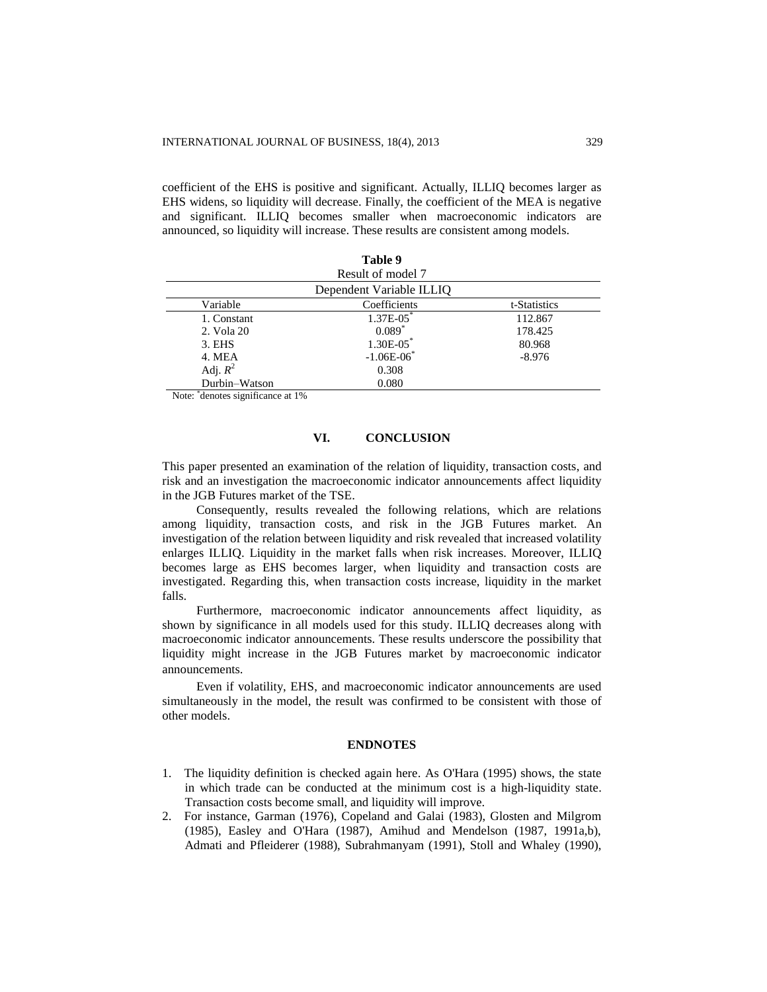coefficient of the EHS is positive and significant. Actually, ILLIQ becomes larger as EHS widens, so liquidity will decrease. Finally, the coefficient of the MEA is negative and significant. ILLIQ becomes smaller when macroeconomic indicators are announced, so liquidity will increase. These results are consistent among models.

|               | Table 9                  |              |
|---------------|--------------------------|--------------|
|               | Result of model 7        |              |
|               | Dependent Variable ILLIQ |              |
| Variable      | Coefficients             | t-Statistics |
| 1. Constant   | $1.37E - 05$ *           | 112.867      |
| 2. Vola 20    | $0.089*$                 | 178.425      |
| 3. EHS        | $1.30E-05$ <sup>*</sup>  | 80.968       |
| 4. MEA        | $-1.06E-06$ *            | $-8.976$     |
| Adj. $R^2$    | 0.308                    |              |
| Durbin-Watson | 0.080                    |              |

Note: \* denotes significance at 1%

# **VI. CONCLUSION**

This paper presented an examination of the relation of liquidity, transaction costs, and risk and an investigation the macroeconomic indicator announcements affect liquidity in the JGB Futures market of the TSE.

Consequently, results revealed the following relations, which are relations among liquidity, transaction costs, and risk in the JGB Futures market. An investigation of the relation between liquidity and risk revealed that increased volatility enlarges ILLIQ. Liquidity in the market falls when risk increases. Moreover, ILLIQ becomes large as EHS becomes larger, when liquidity and transaction costs are investigated. Regarding this, when transaction costs increase, liquidity in the market falls.

Furthermore, macroeconomic indicator announcements affect liquidity, as shown by significance in all models used for this study. ILLIQ decreases along with macroeconomic indicator announcements. These results underscore the possibility that liquidity might increase in the JGB Futures market by macroeconomic indicator announcements.

Even if volatility, EHS, and macroeconomic indicator announcements are used simultaneously in the model, the result was confirmed to be consistent with those of other models.

#### **ENDNOTES**

- 1. The liquidity definition is checked again here. As O'Hara (1995) shows, the state in which trade can be conducted at the minimum cost is a high-liquidity state. Transaction costs become small, and liquidity will improve.
- 2. For instance, Garman (1976), Copeland and Galai (1983), Glosten and Milgrom (1985), Easley and O'Hara (1987), Amihud and Mendelson (1987, 1991a,b), Admati and Pfleiderer (1988), Subrahmanyam (1991), Stoll and Whaley (1990),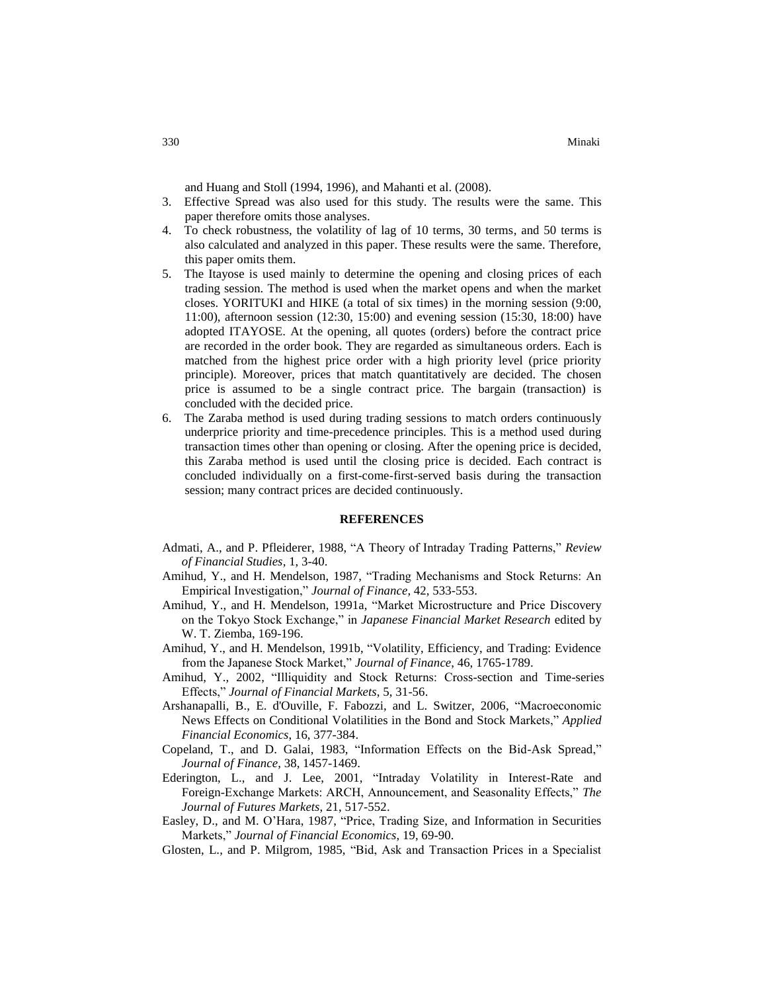and Huang and Stoll (1994, 1996), and Mahanti et al. (2008).

- 3. Effective Spread was also used for this study. The results were the same. This paper therefore omits those analyses.
- 4. To check robustness, the volatility of lag of 10 terms, 30 terms, and 50 terms is also calculated and analyzed in this paper. These results were the same. Therefore, this paper omits them.
- 5. The Itayose is used mainly to determine the opening and closing prices of each trading session. The method is used when the market opens and when the market closes. YORITUKI and HIKE (a total of six times) in the morning session (9:00, 11:00), afternoon session (12:30, 15:00) and evening session (15:30, 18:00) have adopted ITAYOSE. At the opening, all quotes (orders) before the contract price are recorded in the order book. They are regarded as simultaneous orders. Each is matched from the highest price order with a high priority level (price priority principle). Moreover, prices that match quantitatively are decided. The chosen price is assumed to be a single contract price. The bargain (transaction) is concluded with the decided price.
- 6. The Zaraba method is used during trading sessions to match orders continuously underprice priority and time-precedence principles. This is a method used during transaction times other than opening or closing. After the opening price is decided, this Zaraba method is used until the closing price is decided. Each contract is concluded individually on a first-come-first-served basis during the transaction session; many contract prices are decided continuously.

#### **REFERENCES**

- Admati, A., and P. Pfleiderer, 1988, "A Theory of Intraday Trading Patterns," *Review of Financial Studies*, 1, 3-40.
- Amihud, Y., and H. Mendelson, 1987, "Trading Mechanisms and Stock Returns: An Empirical Investigation," *Journal of Finance*, 42, 533-553.
- Amihud, Y., and H. Mendelson, 1991a, "Market Microstructure and Price Discovery on the Tokyo Stock Exchange," in *Japanese Financial Market Research* edited by W. T. Ziemba, 169-196.
- Amihud, Y., and H. Mendelson, 1991b, "Volatility, Efficiency, and Trading: Evidence from the Japanese Stock Market," *Journal of Finance*, 46, 1765-1789.
- Amihud, Y., 2002, "Illiquidity and Stock Returns: Cross-section and Time-series Effects," *Journal of Financial Markets*, 5, 31-56.
- Arshanapalli, B., E. d'Ouville, F. Fabozzi, and L. Switzer, 2006, "Macroeconomic News Effects on Conditional Volatilities in the Bond and Stock Markets," *Applied Financial Economics*, 16, 377-384.
- Copeland, T., and D. Galai, 1983, "Information Effects on the Bid-Ask Spread," *Journal of Finance*, 38, 1457-1469.
- Ederington, L., and J. Lee, 2001, "Intraday Volatility in Interest-Rate and Foreign-Exchange Markets: ARCH, Announcement, and Seasonality Effects," *The Journal of Futures Markets*, 21, 517-552.
- Easley, D., and M. O'Hara, 1987, "Price, Trading Size, and Information in Securities Markets," *Journal of Financial Economics*, 19, 69-90.
- Glosten, L., and P. Milgrom, 1985, "Bid, Ask and Transaction Prices in a Specialist